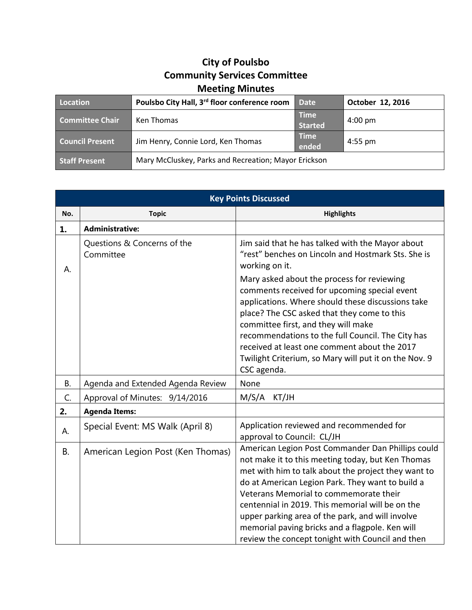## **City of Poulsbo Community Services Committee Meeting Minutes**

| Location               | Poulsbo City Hall, 3rd floor conference room         | <b>Date</b>                   | October 12, 2016  |
|------------------------|------------------------------------------------------|-------------------------------|-------------------|
| <b>Committee Chair</b> | Ken Thomas                                           | <b>Time</b><br><b>Started</b> | $4:00 \text{ pm}$ |
| <b>Council Present</b> | Jim Henry, Connie Lord, Ken Thomas                   | <b>Time</b><br>ended          | $4:55$ pm         |
| <b>Staff Present</b>   | Mary McCluskey, Parks and Recreation; Mayor Erickson |                               |                   |

| <b>Key Points Discussed</b> |                                          |                                                                                                                                                                                                                                                                                                                                                                                                                                                                            |  |
|-----------------------------|------------------------------------------|----------------------------------------------------------------------------------------------------------------------------------------------------------------------------------------------------------------------------------------------------------------------------------------------------------------------------------------------------------------------------------------------------------------------------------------------------------------------------|--|
| No.                         | <b>Topic</b>                             | <b>Highlights</b>                                                                                                                                                                                                                                                                                                                                                                                                                                                          |  |
| 1.                          | <b>Administrative:</b>                   |                                                                                                                                                                                                                                                                                                                                                                                                                                                                            |  |
| А.                          | Questions & Concerns of the<br>Committee | Jim said that he has talked with the Mayor about<br>"rest" benches on Lincoln and Hostmark Sts. She is<br>working on it.                                                                                                                                                                                                                                                                                                                                                   |  |
|                             |                                          | Mary asked about the process for reviewing<br>comments received for upcoming special event<br>applications. Where should these discussions take<br>place? The CSC asked that they come to this<br>committee first, and they will make<br>recommendations to the full Council. The City has<br>received at least one comment about the 2017<br>Twilight Criterium, so Mary will put it on the Nov. 9<br>CSC agenda.                                                         |  |
| <b>B.</b>                   | Agenda and Extended Agenda Review        | None                                                                                                                                                                                                                                                                                                                                                                                                                                                                       |  |
| C.                          | Approval of Minutes: 9/14/2016           | M/S/A<br>KT/JH                                                                                                                                                                                                                                                                                                                                                                                                                                                             |  |
| 2.                          | <b>Agenda Items:</b>                     |                                                                                                                                                                                                                                                                                                                                                                                                                                                                            |  |
| А.                          | Special Event: MS Walk (April 8)         | Application reviewed and recommended for<br>approval to Council: CL/JH                                                                                                                                                                                                                                                                                                                                                                                                     |  |
| <b>B.</b>                   | American Legion Post (Ken Thomas)        | American Legion Post Commander Dan Phillips could<br>not make it to this meeting today, but Ken Thomas<br>met with him to talk about the project they want to<br>do at American Legion Park. They want to build a<br>Veterans Memorial to commemorate their<br>centennial in 2019. This memorial will be on the<br>upper parking area of the park, and will involve<br>memorial paving bricks and a flagpole. Ken will<br>review the concept tonight with Council and then |  |